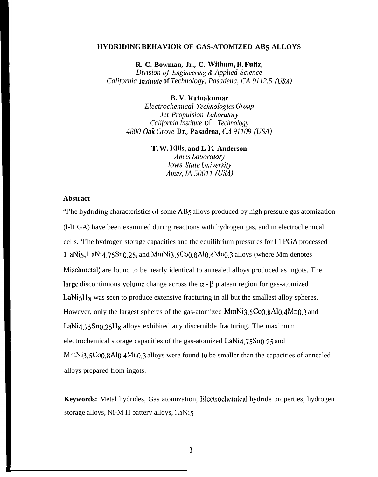#### **JIYDRIDING BEIIAWOR OF GAS-ATOMIZED ABs ALLOYS**

**R. C. Bowman, Jr., C. Witham, B. Fultz,** 

*Division of Engineering & Applied Science California Institute of Technology, Pasadena, CA 9112.5 (USA)* 

### **B. V. Ralnakurnar**

*Electrochemical Ikchnologies Grot!p Jet Propulsion ],aboratory California Institute of Technology 4800 Oak Grove Dr., Pasadena, CA 91109 (USA)*

#### **1'. W. Ellis, and L IL Anderson**

*Ames I.aboratory lows State University Ames, IA 50011 (USA)* 

# **Abstract**

"l'he hydriding characteristics of some AB5 alloys produced by high pressure gas atomization (l-lI'GA) have been examined during reactions with hydrogen gas, and in electrochemical cells. 'l'he hydrogen storage capacities and the equilibrium pressures for } 1 PGA processed 1 aNi5, LaNi4.75Sn0.25, and MmNi3.5Co0.8Al0.4Mn0.3 alloys (where Mm denotes Mischmetal) are found to be nearly identical to annealed alloys produced as ingots. The large discontinuous volume change across the  $\alpha$  -  $\beta$  plateau region for gas-atomized LaNi $51x$  was seen to produce extensive fracturing in all but the smallest alloy spheres. However, only the largest spheres of the gas-atomized MmNi3.5Co0.8Al0.4Mn0.3 and  $1.4$ Ni4.75Sn0.25H<sub>x</sub> alloys exhibited any discernible fracturing. The maximum electrochemical storage capacities of the gas-atomized  $l.aNi4.75Sn0.25$  and  $MmNi<sub>3.5</sub>Co<sub>0.8</sub>Al<sub>0.4</sub>Mn<sub>0.3</sub>$  alloys were found to be smaller than the capacities of annealed alloys prepared from ingots.

**Keywords:** Metal hydrides, Gas atomization, Rlcctrochemical hydride properties, hydrogen storage alloys, Ni-M H battery alloys, LaNi5

 $\mathbf{1}$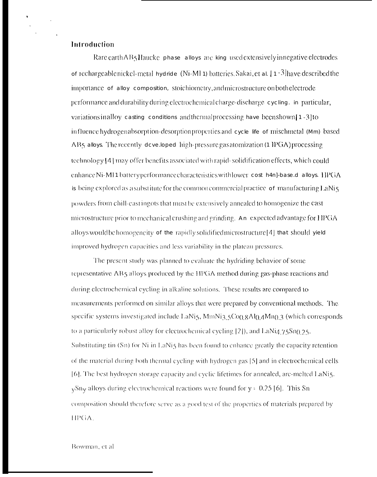### Introduction

 $\bullet$ 

Rare earth AB5 Haucke phase alloys are king used extensively innegative electrodes of rechargeable nickel-metal hydride (Ni-MI 1) batteries. Sakai, et al.  $[1 - 3]$  have described the importance of alloy composition, stoichiometry, and microstructure on both electrode performance and durability during electrochemical charge-discharge cycling. in particular, variations in alloy casting conditions and thermal processing have been shown [1-3] to influence hydrogen absorption-desorption properties and cycle life of mischmetal (Mm) based AB5 alloys. The recently developed high-pressure gas atomization (1 IPGA) processing technology [4] may offer benefits associated with rapid-solidification effects, which could enhance Ni-MI1 battery performance characteristics with lower cost h4n]-base d alloys. IIPGA is being explored as a substitute for the common commercial practice of manufacturing LaNi5 powders from chill-cast ingots that must be extensively annealed to homogenize the cast microstructure prior to mechanical crushing and grinding. An expected advantage for HPGA alloys would be homogeneity of the rapidly solidified microstructure [4] that should yield improved hydrogen capacities and less variability in the plateau pressures.

The present study was planned to evaluate the hydriding behavior of some representative AB5 alloys produced by the HPGA method during gas-phase reactions and during electrochemical cycling in alkaline solutions. These results are compared to measurements performed on similar alloys that were prepared by conventional methods. The specific systems investigated include LaNi5, MmNi3 5Co() 8Al() 4Mn() 3 (which corresponds to a particularly robust alloy for electrochemical cycling [2]), and LaNi4.75Sn0.25. Substituting tin (Sn) for Ni in LaNis has been found to enhance greatly the capacity retention of the material during both thermal cycling with hydrogen gas [5] and in electrochemical cells [6]. The best hydrogen storage capacity and cyclic lifetimes for annealed, arc-melted LaNi5.  $\sqrt{2}$ Sny alloys during electrochemical reactions were found for y = 0.25 [6]. This Sn composition should therefore serve as a good test of the properties of materials prepared by HPGA.

Bowman, et al.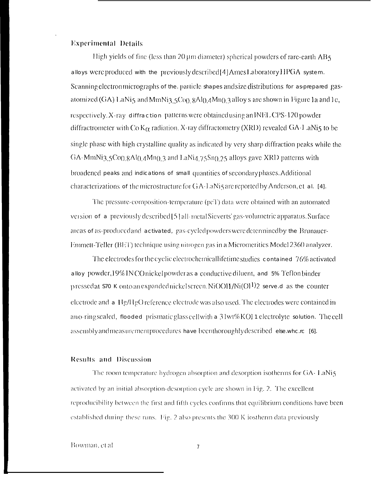#### **Experimental Details**

High yields of fine (less than 20 µm diameter) spherical powders of rare-earth AB5 alloys were produced with the previously described[4] Ames Laboratory HPGA system. Scanning electron micrographs of the particle shapes and size distributions for as-prepared gasatomized  $(GA)$  LaNi5 and MmNi3.5Co(),  $gA$ (),  $gMn()$ ,  $3$  alloy s are shown in Figure 1a and 1c, respectively. X-ray diffraction patterns were obtained using an INEL CPS-120 powder diffractrometer with Co  $K_{\alpha}$  radiation. X-ray diffractometry (XRD) revealed GA-L aNi5 to be single phase with high crystalline quality as indicated by very sharp diffraction peaks while the GA-MmNi3.5Co().8Al().4Mn().3 and LaNi4.75Sn().25 alloys gave XRD patterns with broadened peaks and indications of small quantities of secondary phases. Additional characterizations of the microstructure for GA-LaNi5 are reported by Anderson, et al. [4].

The pressure-composition-temperature (pcT) data were obtained with an automated version of a previously described [5] all-metal Sieverts' gas-volumetric apparatus. Surface areas of as-produced and activated, gas-cycled powders were determined by the Brunauer-Emmett-Teller (BET) technique using nitrogen gas in a Micromerities Model 2360 analyzer.

The electrodes for the cyclic electrochemical lifetime studies contained 76% activated alloy powder, 19% INCO nickel powder as a conductive diluent, and 5% Teflon binder pressed at 570 K onto an expanded nickel screen. NiOOH/Ni(OH)2 serve.d as the counter electrode and a Hg/HgO reference electrode was also used. The electrodes were contained in ano-ring sealed, flooded prismatic glass cell with a 31wt% KOI 1 electrolyte solution. The cell assembly and measurement procedures have been thoroughly described else where [6].

#### **Results and Discussion**

The room temperature hydrogen absorption and desorption isotherms for GA-LaNi5 activated by an initial absorption-desorption cycle are shown in Fig. 2. The excellent reproducibility between the first and fifth cycles confirms that equilibrium conditions have been established during these runs. Fig. 2 also presents the 300 K iostherm data previously

Bowman, et al.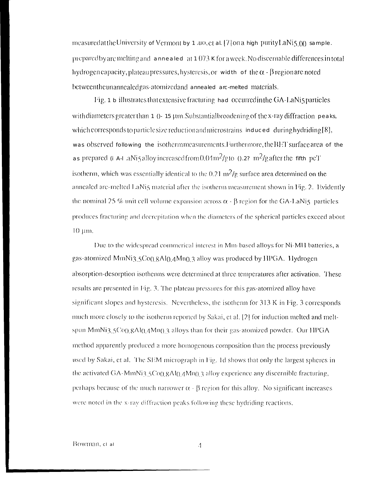measured at the University of Vermont by 1 40, et al. [7] on a high purity LaNi5.( $\chi$ ) sample. prepared by arc melting and anneated at 1.073 K for a week. No discernable differences in total hydrogen capacity, plateau pressures, hysteresis, or width of the  $\alpha$  -  $\beta$  region are noted betweenthe unannealed gas-atomized and annealed arc-melted materials.

Fig. 1 b illustrates that extensive fracturing had occurred in the GA-LaNis particles with diameters greater than 1 0-15 um. Substantial broadening of the x-ray diffraction peaks, which corresponds to particle size reduction and microstrains induced during hydriding [8], was observed following the isothermmeasurements. Furthermore, the BET surface area of the as prepared (i. A-LaNi5 alloy increased from 0.04 m<sup>2</sup>/g to 0.2? m<sup>2</sup>/g after the fifth pcT isotherm, which was essentially identical to the  $0.21 \text{ m}^2/\text{g}$  surface area determined on the annealed arc-melted LaNi5 material after the isotherm measurement shown in Fig. 2. Evidently the nominal 25 % unit cell volume expansion across  $\alpha$  -  $\beta$  region for the GA-LaNi5 particles produces fracturing and decrepitation when the diameters of the spherical particles exceed about 10 um.

Due to the widespread commerical interest in Mm-based alloys for Ni-MH batteries, a gas-atomized MmNi3.5Co0.8Al0.4Mn0.3 alloy was produced by HPGA. Hydrogen absorption-desorption isotherms were determined at three temperatures after activation. These results are presented in Fig. 3. The plateau pressures for this gas-atomized alloy have significant slopes and hysteresis. Nevertheless, the isotherm for 313 K in Fig. 3 corresponds much more closely to the isotherm reported by Sakai, et al. [2] for induction melted and meltspun MmNi3.5Co0.8Al0.4Mn0.3 alloys than for their gas-atomized powder. Our HPGA method apparently produced a more homogenous composition than the process previously used by Sakai, et al. The SEM micrograph in Fig. 1d shows that only the largest spheres in the activated  $GA \cdot MmN13.5C00.8Al(0.4Mn)3$  alloy experience any discernible fracturing, perhaps because of the much narrower  $\alpha$  -  $\beta$  region for this alloy. No significant increases were noted in the x-ray diffraction peaks following these hydriding reactions.

4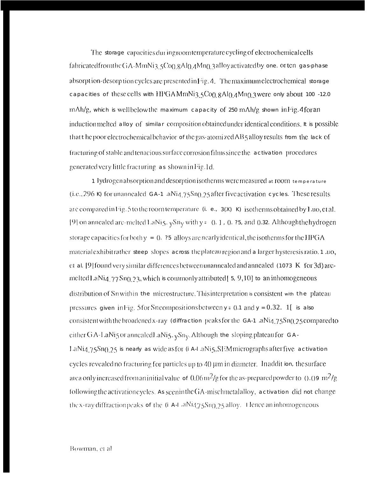The storage capacities during room temperature cycling of electrochemical cells fabricatedfromtheGA-MmNi3.5Co0.8Al0.4Mn0.3alloyactivatedby one. orten gas-phase absorption-desorption cycles are presented in Fig. 4. The maximum electrochemical storage capacities of these cells with HPGAMmNi3.5Co0.8Al0.4Mn0.3 were only about 100 -12.0 mAh/g, which is wellbelow the maximum capacity of 250 mAh/g shown in Fig. 4for an induction melted alloy of similar composition obtained under identical conditions. It is possible that the poor electrochemical behavior of the gas-atomized AB5 alloy results from the lack of fracturing of stable and tenacious surface corrosion films since the activation procedures generated very little fracturing as shown in Fig. 1d.

1 lydrogen absorption and desorption isotherms were measured at room temperature  $(i.e., 296 K)$  for unannealed GA-1 .aNi4.75Sn $(0.25$  after five activation cycles. These results are compared in Fig. 5 to the room temperature  $(i. e., 3(X) K)$  isotherms obtained by Luo, et al. [9] on annealed arc-melted LaNi5. ySny with y = 0.1, 0. 25, and 0.32. Althoughthehydrogen storage capacities for both  $y = 0$ . 25 alloys are nearly identical, the isotherms for the HPGA material exhibitrather steep slopes across the plateau region and a larger hysteresis ratio. 1 no, et al. [9] found very similar differences between unannealed and annealed (1073  $K$  for 3d) arcmelted LaNiq.  $77$  Sn( $123$ , which is commonly attributed [5, 9,10] to an inhomogeneous distribution of Sn within the microstructure. This interpretation is consistent with the plateau pressures given in Fig. 5 for Sn compositions between  $y = 0.1$  and  $y = 0.32$ . 1 is also consistent with the broadened x-ray (diffraction peaks for the GA-1 .aNi4.75Sn0.25 compared to either  $G A$ -LaNi5 or annealed LaNi5.  $\gamma S n_V$ . Although the sloping plateau for GA-LaNi4.75Sn0.25 is nearly as wide as for (i A-LaNi5, SEM micrographs after five activation cycles revealed no fracturing for particles up to 40 µm in diameter. In addition, the surface atea only increased from an initial value of  $0.06 \,\mathrm{m}^2/\mathrm{g}$  for the as-prepared powder to  $0.09 \,\mathrm{m}^2/\mathrm{g}$ following the activation cycles. As seen in the GA-mischmetal alloy, activation did not change the x-ray diffraction peaks of the  $(i$  A-L aNi475Sn(125 alloy. 1 lence an inhomogeneous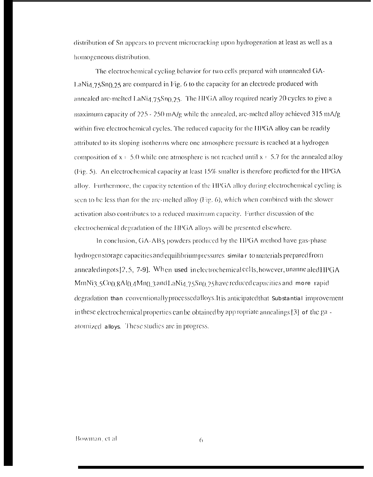distribution of Sn appears to prevent microcracking upon hydrogenation at least as well as a homogeneous distribution.

The electrochemical evoling behavior for two cells prepared with unannealed GA-LaNi4.75Sn0.25 are compared in Fig. 6 to the capacity for an electrode produced with annealed arc-melted LaNia 75Sn<sub>0.25</sub>. The HPGA alloy required nearly 20 cycles to give a maximum capacity of  $225 - 250$  mA/g while the annealed, arc-melted alloy achieved 315 mA/g within five electrochemical cycles. The reduced capacity for the HPGA alloy can be readily attributed to its sloping isotherms where one atmosphere pressure is reached at a hydrogen composition of  $x = 5.0$  while one atmosphere is not reached until  $x = 5.7$  for the annealed alloy (Fig. 5). An electrochemical capacity at least 15% smaller is therefore predicted for the HPGA alloy. Furthermore, the capacity retention of the HPGA alloy during electrochemical cycling is seen to be less than for the arc-melted alloy (Fig. 6), which when combined with the slower activation also contributes to a reduced maximum capacity. Further discussion of the electrochemical degradation of the HPGA alloys will be presented elsewhere.

In conclusion, GA-AB5 powders produced by the HPGA method have gas-phase hydrogen storage capacities and equilibrium pressures similar to materials prepared from annealedingots [2, 5, 7-9]. When used in electrochemical cells, however, unannealed HPGA MmNi3.5Co().8Al().4Mn().3 and LaNi4.75Sn().25 have reduced capacities and more rapid degradation than conventionally processed alloys. It is anticipated that substantial improvement in these electrochemical properties can be obtained by app ropriate annealings  $[3]$  of the gaatomized alloys. These studies are in progress.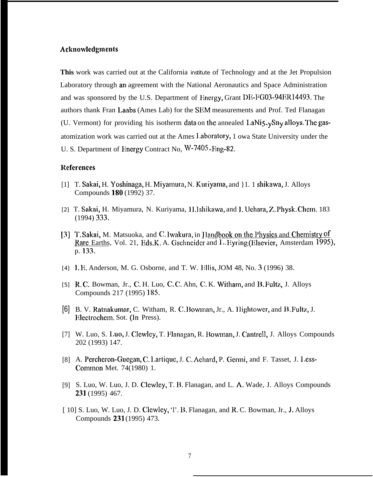## **Acknowlcdgmcnts**

**This** work was carried out at the California institute of Technology and at the Jet Propulsion Laboratory through an agreement with the National Aeronautics and Space Administration and was sponsored by the U.S. Department of Energy, Grant DE-FG03-94ER14493. The authors thank Fran Laabs (Ames Lab) for the SEM measurements and Prof. Ted Flanagan (U. Vermont) for providing his isotherm data on the annealed LaNi $5-y$ Sn<sub>y</sub> alloys. The gasatomization work was carried out at the Ames 1.aboratory, 1 owa State University under the U. S. Department of Energy Contract No, W-7405-Fing-82.

### **Rcfcrcnccs**

- [1] T. Sakai, H. Yoshinaga, H. Miyamura, N. Kuriyama, and }1. 1 shikawa, J. Alloys Compounds 180 (1992) 37.
- [2] T. Sakai, H. Miyamura, N. Kuriyama, H. Ishikawa, and I. Uehara, Z. Physk. Chem. 183 (1994) 333.
- [3] T. Sakai, M. Matsuoka, and C. Iwakura, in Handbook on the Physics and Chemistry of Rare Earths, Vol. 21, Eds.K. A. Gschneider and L. Eyring (Elsevier, Amsterdam 1995), p. 133.
- [4] I. E. Anderson, M. G. Osborne, and T. W. Ellis, JOM 48, No. 3 (1996) 38.
- [5] R. C. Bowman, Jr., C. H. Luo, C. C. Ahn, C. K. Witham, and B. Fultz, J. Alloys Compounds 217 (1995) 185.
- [6] B. V. Ratnakumar, C. Witham, R. C. Bowman, Jr., A. Hightower, and B. Fultz, J. Hlectrochem. Sot. (In Press).
- [7] W. Luo, S. Luo, J. Clewley, T. Flanagan, R. Bowman, J. Cantrell, J. Alloys Compounds 202 (1993) 147.
- [8] A. Percheron-Guegan, C. Lartique, J. C. Achard, P. Germi, and F. Tasset, J. Less-Common Met. 74(1980) 1.
- [9] S. Luo, W. Luo, J. D. Clewley, T. B. Flanagan, and L. A, Wade, J. Alloys Compounds 231 (1995) 467.
- [ 10] S. Luo, W. Luo, J. D. Clewley, 'l'. B. Flanagan, and R, C. Bowman, Jr., J, Alloys Compounds 231 (1995) 473.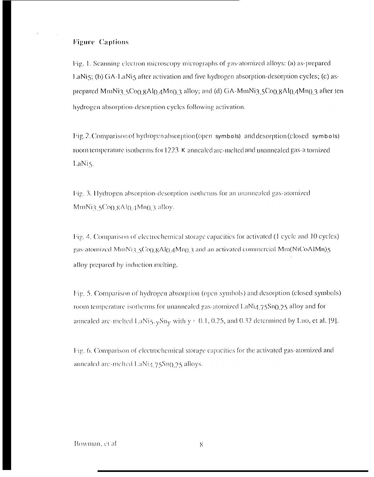# **Figure Captions**

Fig. 1. Scanning electron microscopy micrographs of gas-atomized alloys: (a) as-prepared LaNi5; (b) GA-LaNi5 after activation and five hydrogen absorption-desorption cycles; (c) asprepared MmNi3.5Co().8Al().4Mn().3 alloy; and (d) GA-MmNi3.5Co().8Al().4Mn().3 after ten hydrogen absorption-desorption cycles following activation.

Fig. 2. Comparison of hydrogen absorption (open symbols) and desorption (closed symbols) room temperature isotherms for 1223 K annealed arc-melted and unannealed gas-a tomized LaNis.

Fig. 3. Hydrogen absorption-desorption isotherms for an unannealed gas-atomized MmNi3.5Co(),  $8Al(0,4Mn)$ ,  $3$  alloy.

Fig. 4. Comparison of electrochemical storage capacities for activated (1 cycle and 10 cycles) gas-atomized MmNi3.5Co0.8Al0.4Mn0.3 and an activated commercial Mm(NiCoAlMn)5 alloy prepared by induction melting.

Fig. 5. Comparison of hydrogen absorption (open symbols) and desorption (closed symbols) room temperature isotherms for unannealed gas-atomized LaNi4.75Sn0.25 alloy and for annealed arc-melted LaNi5.  $_v$ Sn<sub>y</sub> with  $y = 0.1$ , 0.25, and 0.32 determined by Luo, et al. [9].

Fig. 6. Comparison of electrochemical storage capacities for the activated gas-atomized and annealed arc-melted LaNi4.75Sn0.25 alloys.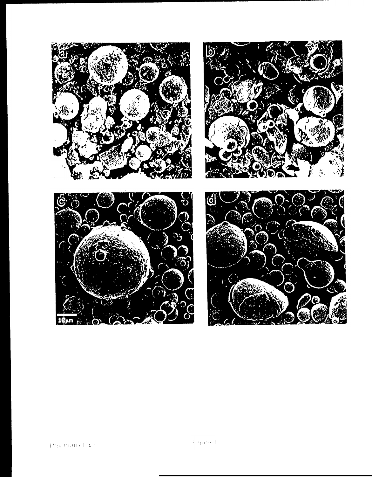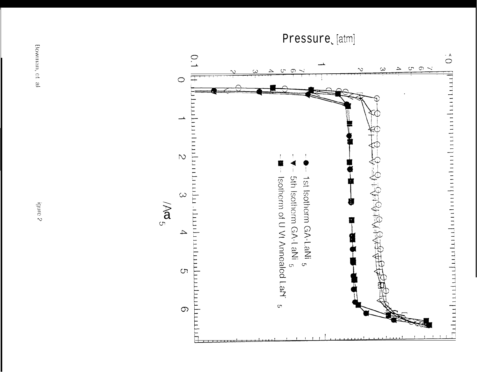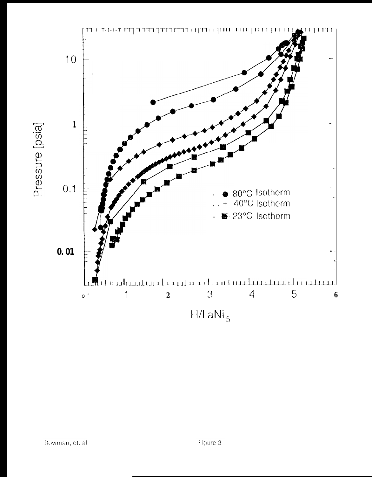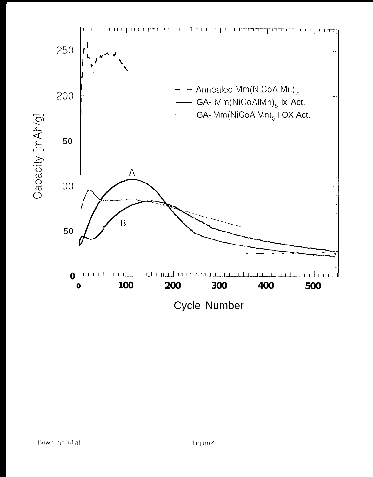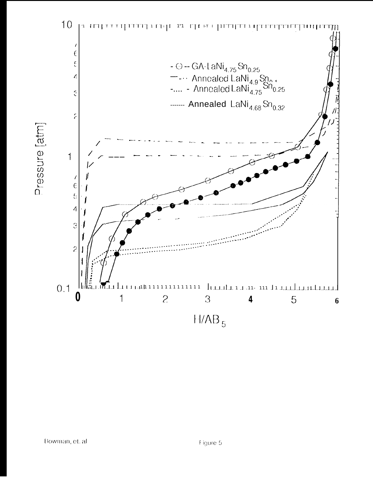

Pressure [atm]